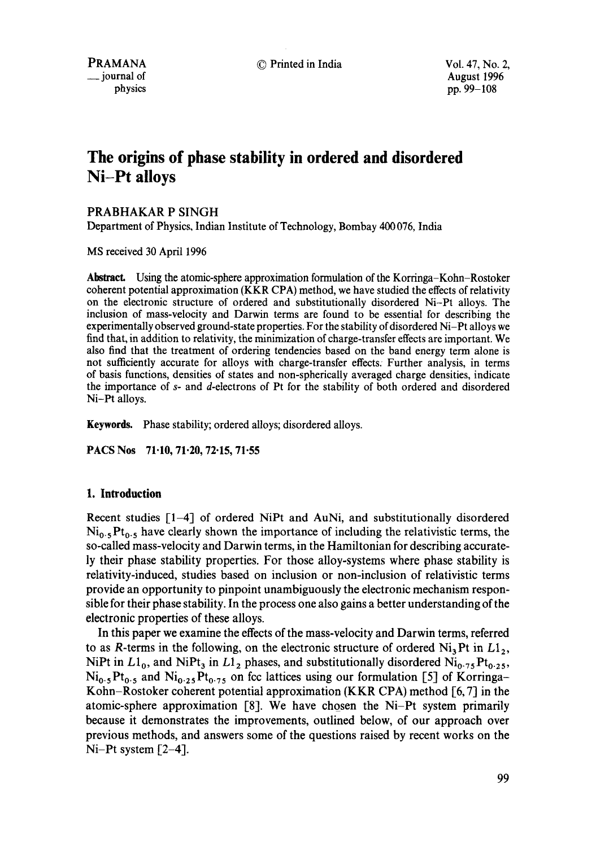© Printed in India Vol. 47, No. 2,

August 1996 pp. 99-108

# **The origins of phase stability in ordered and disordered Ni-Pt alloys**

## PRABHAKAR P SINGH

Department of Physics, Indian Institute of Technology, Bombay 400 076, India

MS received 30 April 1996

Abstract. Using the atomic-sphere approximation formulation of the Korringa-Kohn-Rostoker coherent potential approximation (KKR CPA) method, we have studied the effects of relativity on the electronic structure of ordered and substitutionally disordered Ni-Pt alloys. The inclusion of mass-velocity and Darwin terms are found to be essential for describing the experimentally observed ground-state properties. For the stability of disordered Ni-Pt alloys we find that, in addition to relativity, the minimization of charge-transfer effects are important. We also find that the treatment of ordering tendencies based on the band energy term alone is not sufficiently accurate for alloys with charge-transfer effects. Further analysis, in terms of basis functions, densities of states and non-spherically averaged charge densities, indicate the importance of s- and d-electrons of Pt for the stability of both ordered and disordered Ni-Pt alloys.

**Keywords.** Phase stability; ordered alloys; disordered alloys.

PACS Nos 71.10, 71.20, 72.15, 71.55

## **1. Introduction**

Recent studies [1-4] of ordered NiPt and AuNi, and substitutionally disordered  $Ni<sub>0.5</sub>Pt<sub>0.5</sub>$  have clearly shown the importance of including the relativistic terms, the so-called mass-velocity and Darwin terms, in the Hamiltonian for describing accurately their phase stability properties. For those alloy-systems where phase stability is relativity-induced, studies based on inclusion or non-inclusion of relativistic terms provide an opportunity to pinpoint unambiguously the electronic mechanism responsible for their phase stability. In the process one also gains a better understanding of the electronic properties of these alloys.

In this paper we examine the effects of the mass-velocity and Darwin terms, referred to as R-terms in the following, on the electronic structure of ordered  $Ni<sub>3</sub>Pt$  in  $L1<sub>2</sub>$ , NiPt in  $L1_0$ , and NiPt<sub>3</sub> in  $L1_2$  phases, and substitutionally disordered Ni<sub>0.75</sub> Pt<sub>0.25</sub>,  $Ni<sub>0.5</sub>Pt<sub>0.5</sub>$  and  $Ni<sub>0.25</sub>Pt<sub>0.75</sub>$  on fcc lattices using our formulation [5] of Korringa-Kohn-Rostoker coherent potential approximation (KKR CPA) method [6, 7] in **the**  atomic-sphere approximation [8]. We have chosen the Ni-Pt system primarily because it demonstrates the improvements, outlined below, of our approach over previous methods, and answers some of the questions raised by recent works on the  $Ni-Pt$  system  $[2-4]$ .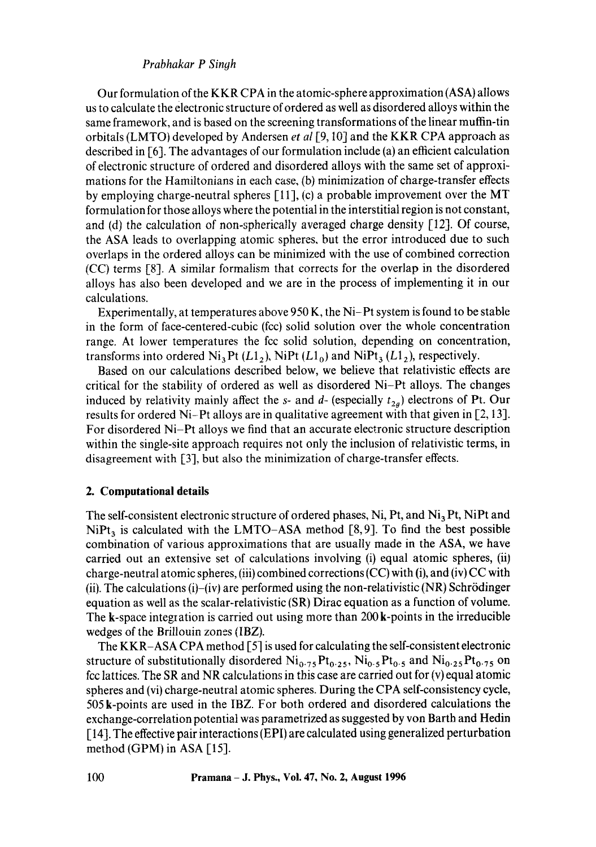Our formulation of the KKR CPA in the atomic-sphere approximation (ASA) allows us to calculate the electronic structure of ordered as well as disordered alloys within the same framework, and is based on the screening transformations of the linear muffin-tin orbitals (LMTO) developed by Andersen *et al* [9, 10] and the KKR CPA approach as described in [6]. The advantages of our formulation include (a) an efficient calculation of electronic structure of ordered and disordered alloys with the same set of approximations for the Hamiltonians in each case, (b) minimization of charge-transfer effects by employing charge-neutral spheres  $[11]$ , (c) a probable improvement over the MT formulation for those alloys where the potential in the interstitial region is not constant, and (d) the calculation of non-spherically averaged charge density [12]. Of course, the ASA leads to overlapping atomic spheres, but the error introduced due to such overlaps in the ordered alloys can be minimized with the use of combined correction (CC) terms [8]. A similar formalism that corrects for the overlap in the disordered alloys has also been developed and we are in the process of implementing it in our calculations.

Experimentally, at temperatures above 950 K, the Ni-Pt system is found to be stable in the form of face-centered-cubic (fcc) solid solution over the whole concentration range. At lower temperatures the fcc solid solution, depending on concentration, transforms into ordered  $Ni<sub>3</sub>Pt (L1<sub>2</sub>)$ , NiPt ( $L1<sub>0</sub>$ ) and NiPt<sub>3</sub> ( $L1<sub>2</sub>$ ), respectively.

Based on our calculations described below, we believe that relativistic effects are critical for the stability of ordered as well as disordered Ni-Pt alloys. The changes induced by relativity mainly affect the s- and  $d$ - (especially  $t_{2g}$ ) electrons of Pt. Our results for ordered Ni-Pt alloys are in qualitative agreement with that given in [2, 13]. For disordered Ni-Pt alloys we find that an accurate electronic structure description within the single-site approach requires not only the inclusion of relativistic terms, in disagreement with [3], but also the minimization of charge-transfer effects.

## **2. Computational details**

The self-consistent electronic structure of ordered phases, Ni, Pt, and Ni<sub>3</sub> Pt, NiPt and  $NiPt<sub>3</sub>$  is calculated with the LMTO-ASA method [8,9]. To find the best possible combination of various approximations that are usually made in the ASA, we have carried out an extensive set of calculations involving (i) equal atomic spheres, (ii) charge-neutral atomic spheres, (iii) combined corrections (CC) with (i), and (iv) CC with (ii). The calculations (i)–(iv) are performed using the non-relativistic (NR) Schrödinger equation as well as the scalar-relativistic (SR) Dirac equation as a function of volume. The k-space integration is carried out using more than 200 k-points in the irreducible wedges of the Brillouin zones (IBZ).

The KKR-ASA CPA method [5] is used for calculating the self-consistent electronic structure of substitutionally disordered  $Ni<sub>0.75</sub>Pt<sub>0.25</sub> Ni<sub>0.5</sub>Pt<sub>0.5</sub> and Ni<sub>0.25</sub>Pt<sub>0.75</sub> on$ fcc lattices. The SR and NR calculations in this case are carried out for (v) equal atomic spheres and (vi) charge-neutral atomic spheres. During the CPA self-consistency cycle, 505 k-points are used in the IBZ. For both ordered and disordered calculations the exchange-correlation potential was parametrized as suggested by von Barth and Hedin [ 14]. The effective pair interactions (EPI) are calculated using generalized perturbation method (GPM) in ASA [15].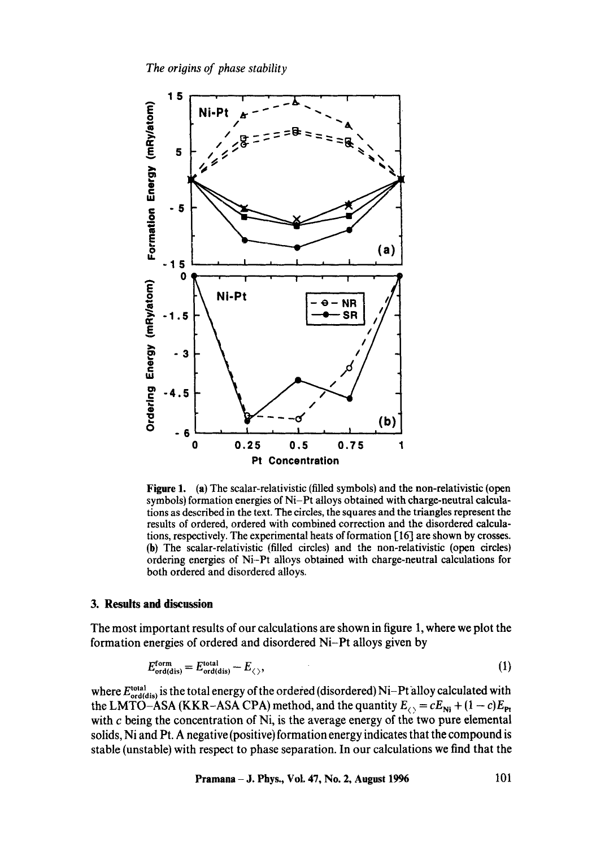

**Figure** 1. (a) The scalar-relativistic (filled symbols) and the non-relativistic (open symbols) formation energies of Ni-Pt alloys obtained with charge-neutral calculations as described in the text. The circles, the squares and the triangles represent the results of ordered, ordered with combined correction and the disordered calculations, respectively. The experimental heats of formation [16] are shown by crosses. (b) The scalar-relativistic (filled circles) and the non-relativistic (open circles) ordering energies of Ni-Pt alloys obtained with charge-neutral calculations for both ordered and disordered alloys.

#### **3. Results and discussion**

The most important results of our calculations are shown in figure 1, where we plot the formation energies of ordered and disordered Ni-Pt alloys given by

$$
E_{\text{ord(dis)}}^{\text{form}} = E_{\text{ord(dis)}}^{\text{total}} - E_{\langle \rangle},\tag{1}
$$

where  $E_{\text{ord(dis)}}^{\text{total}}$  is the total energy of the ordered (disordered) Ni-Pt alloy calculated with the LMTO-ASA (KKR-ASA CPA) method, and the quantity  $E_{\langle} = cE_{\text{Ni}} + (1 - c)E_{\text{Pt}}$ with c being the concentration of Ni, is the average energy of the two pure elemental solids, Ni and Pt. A negative (positive) formation energy indicates that the compound is stable (unstable) with respect to phase separation. In our calculations we find that the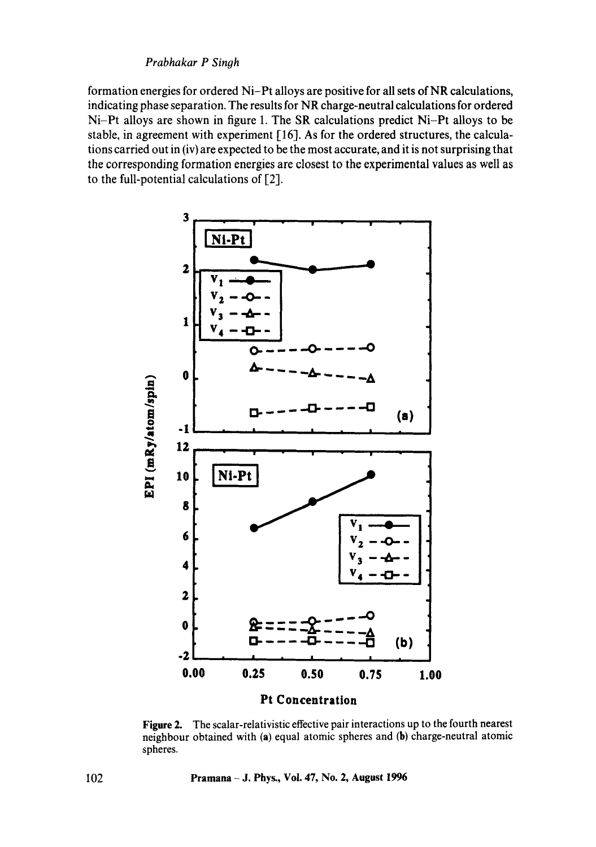formation energies for ordered Ni-Pt alloys are positive for all sets of NR calculations, indicating phase separation. The results for NR charge-neutral calculations for ordered Ni-Pt alloys are shown in figure 1. The SR calculations predict Ni-Pt alloys to be stable, in agreement with experiment [16]. As for the ordered structures, the calculations carried out in (iv) are expected to be the most accurate, and it is not surprising that the corresponding formation energies are closest to the experimental values as well as to the full-potential calculations of [2].



**Figure** 2. The scalar-relativistic effective pair interactions up to the fourth nearest neighbour obtained with (a) equal atomic spheres and (b) charge-neutral atomic spheres.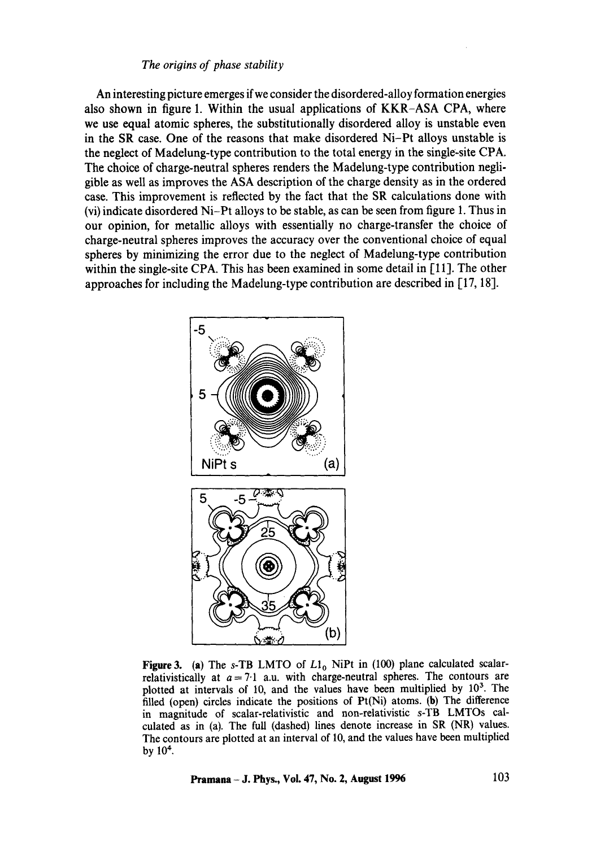## *The origins of phase stability*

An interesting picture emerges if we consider the disordered-alloy formation energies also shown in figure 1. Within the usual applications of KKR-ASA CPA, where we use equal atomic spheres, the substitutionally disordered alloy is unstable even in the SR case. One of the reasons that make disordered Ni-Pt alloys unstable is the neglect of Madelung-type contribution to the total energy in the single-site CPA. The choice of charge-neutral spheres renders the Madelung-type contribution negligible as well as improves the ASA description of the charge density as in the ordered case. This improvement is reflected by the fact that the SR calculations done with (vi) indicate disordered Ni-Pt alloys to be stable, as can be seen from figure 1. Thus in our opinion, for metallic alloys with essentially no charge-transfer the choice of charge-neutral spheres improves the accuracy over the conventional choice of equal spheres by minimizing the error due to the neglect of Madelung-type contribution within the single-site CPA. This has been examined in some detail in [11]. The other approaches for including the Madelung-type contribution are described in [17, 18].



**Figure 3.** (a) The s-TB LMTO of  $L1_0$  NiPt in (100) plane calculated scalarrelativistically at  $a = 7.1$  a.u. with charge-neutral spheres. The contours are plotted at intervals of 10, and the values have been multiplied by  $10<sup>3</sup>$ . The filled (open) circles indicate the positions of Pt(Ni) atoms. (b) The difference in magnitude of scalar-relativistic and non-relativistic s-TB LMTOs calculated as in (a). The full (dashed) lines denote increase in SR (NR) values. The contours are plotted at an interval of 10, and the values have been multiplied by  $10<sup>4</sup>$ .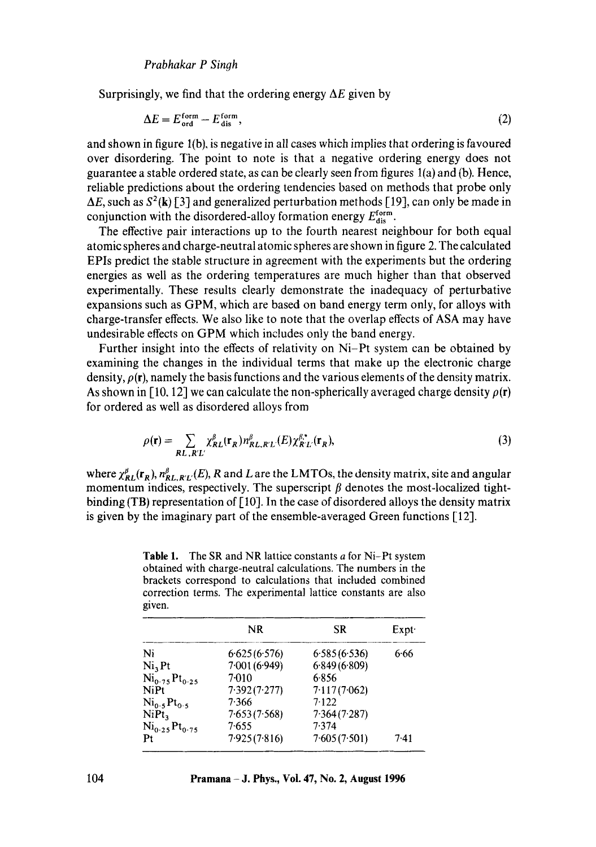Surprisingly, we find that the ordering energy  $\Delta E$  given by

$$
\Delta E = E_{\text{ord}}^{\text{form}} - E_{\text{dis}}^{\text{form}},\tag{2}
$$

and shown in figure  $1(b)$ , is negative in all cases which implies that ordering is favoured over disordering. The point to note is that a negative ordering energy does not guarantee a stable ordered state, as can be clearly seen from figures l(a) and (b). Hence, reliable predictions about the ordering tendencies based on methods that probe only  $\Delta E$ , such as  $S^2(\mathbf{k})$  [3] and generalized perturbation methods [19], can only be made in conjunction with the disordered-alloy formation energy  $E_{dis}^{form}$ .

The effective pair interactions up to the fourth nearest neighbour for both equal atomic spheres and charge-neutral atomic spheres are shown in figure 2. The calculated EPIs predict the stable structure in agreement with the experiments but the ordering energies as well as the ordering temperatures are much higher than that observed experimentally. These results clearly demonstrate the inadequacy of perturbative expansions such as GPM, which are based on band energy term only, for alloys with charge-transfer effects. We also like to note that the overlap effects of ASA may have undesirable effects on GPM which includes only the band energy.

Further insight into the effects of relativity on Ni-Pt system can be obtained by examining the changes in the individual terms that make up the electronic charge density,  $\rho(\mathbf{r})$ , namely the basis functions and the various elements of the density matrix. As shown in [10, 12] we can calculate the non-spherically averaged charge density  $\rho(r)$ for ordered as well as disordered alloys from

$$
\rho(\mathbf{r}) = \sum_{\mathbf{R}L, \mathbf{R}'L'} \chi_{\mathbf{R}L}^{\beta}(\mathbf{r}_{\mathbf{R}}) n_{\mathbf{R}L, \mathbf{R}'L}^{\beta}(\mathbf{E}) \chi_{\mathbf{R}'L'}^{\beta,*}(\mathbf{r}_{\mathbf{R}}),
$$
\n(3)

where  $\chi_{RL}^{\beta}(\mathbf{r}_R), n_{RL,RL}^{\beta}(E)$ , R and L are the LMTOs, the density matrix, site and angular momentum indices, respectively. The superscript  $\beta$  denotes the most-localized tightbinding (TB) representation of  $\lceil 10 \rceil$ . In the case of disordered alloys the density matrix is given by the imaginary part of the ensemble-averaged Green functions [12].

obtained with charge-neutral calculations. The numbers in the brackets correspond to calculations that included combined correction terms. The experimental lattice constants are also given.

**Table 1.** The SR and NR lattice constants  $a$  for Ni-Pt system

|                                     | <b>NR</b>     | SR           | Expt |
|-------------------------------------|---------------|--------------|------|
| Ni                                  | 6.625(6.576)  | 6.585(6.536) | 6.66 |
| Ni, Pt                              | 7.001 (6.949) | 6.849(6.809) |      |
| $Ni_{0.75}Pt_{0.25}$                | 7.010         | 6.856        |      |
| NiPt                                | 7.392(7.277)  | 7.117(7.062) |      |
| Ni <sub>0.5</sub> Pt <sub>0.5</sub> | 7.366         | 7.122        |      |
| NiPt <sub>3</sub>                   | 7.653(7.568)  | 7.364(7.287) |      |
| $Ni_{0.25}Pt_{0.75}$                | 7.655         | 7.374        |      |
| Pt                                  | 7.925(7.816)  | 7.605(7.501) | 7.41 |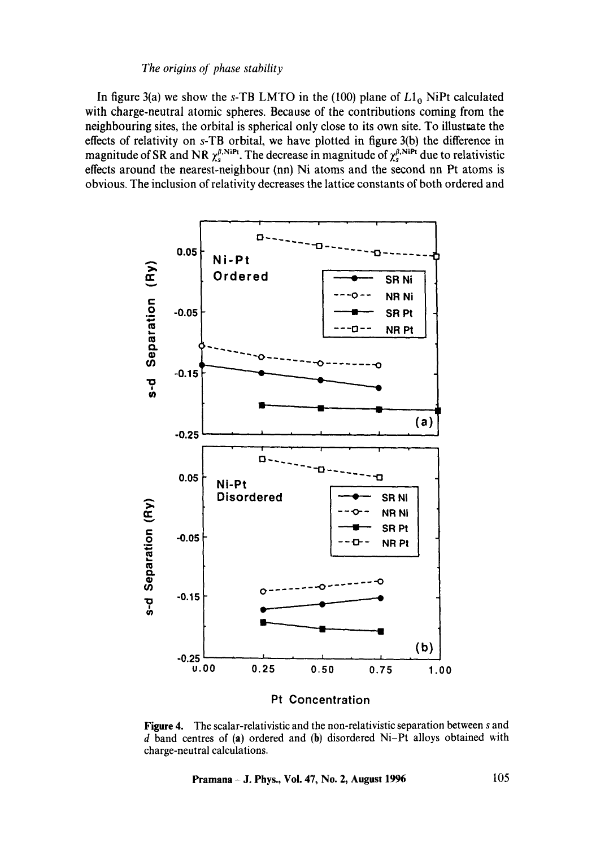#### *The origins of phase stability*

In figure 3(a) we show the s-TB LMTO in the (100) plane of  $L1_0$  NiPt calculated with charge-neutral atomic spheres. Because of the contributions coming from the neighbouring sites, the orbital is spherical only close to its own site. To illustrate the effects of relativity on s-TB orbital, we have plotted in figure 3(b) the difference in magnitude of SR and NR  $\chi_s^{\beta, NiPt}$ . The decrease in magnitude of  $\chi_s^{\beta, NiPt}$  due to relativistic effects around the nearest-neighbour (nn) Ni atoms and the second nn Pt atoms is obvious, The inclusion of relativity decreases the lattice constants of both ordered and



**Figure** 4. The scalar-relativistic and the non-relativistic separation between s and  $d$  band centres of (a) ordered and (b) disordered Ni-Pt alloys obtained with charge-neutral calculations.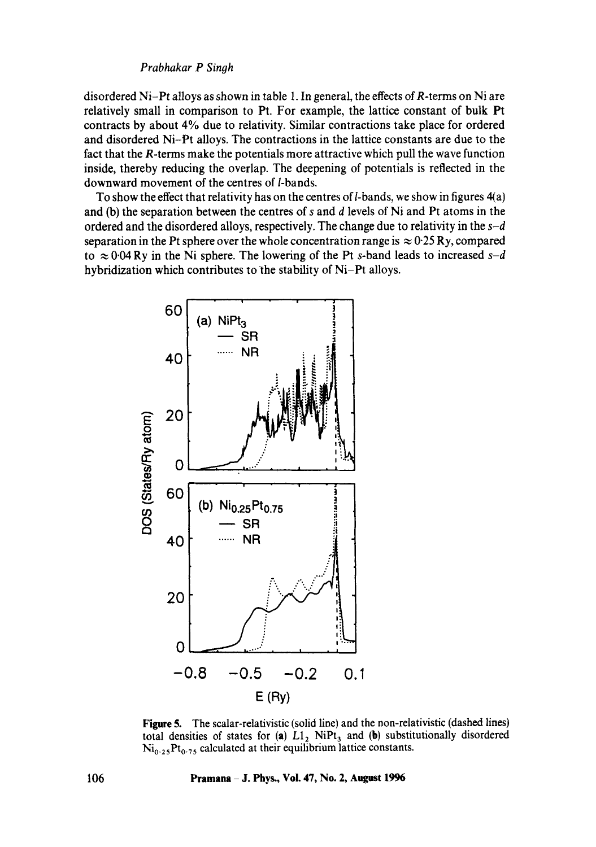disordered Ni-Pt alloys as shown in table 1. In general, the effects of *-terms on Ni are* relatively small in comparison to Pt. For example, the lattice constant of bulk Pt contracts by about 4% due to relativity. Similar contractions take place for ordered and disordered Ni-Pt alloys. The contractions in the lattice constants are due to the fact that the R-terms make the potentials more attractive which pull the wave function inside, thereby reducing the overlap. The deepening of potentials is reflected in the downward movement of the centres of *l*-bands.

To show the effect that relativity has on the centres of  $l$ -bands, we show in figures  $4(a)$ and (b) the separation between the centres of s and d levels of Ni and Pt atoms in the ordered and the disordered alloys, respectively. The change due to relativity in the *s-d*  separation in the Pt sphere over the whole concentration range is  $\approx 0.25$  Ry, compared to  $\approx 0.04$  Ry in the Ni sphere. The lowering of the Pt s-band leads to increased  $s-d$ hybridization which contributes to the stability of Ni-Pt alloys.



**Figure** 5. The scalar-relativistic (solid line) and the non-relativistic (dashed lines) total densities of states for (a)  $L1_2$  NiPt<sub>3</sub> and (b) substitutionally disordered  $Ni<sub>0.25</sub>Pt<sub>0.75</sub>$  calculated at their equilibrium lattice constants.

106 Pramana - J. Phys., Vol. 47, No. 2, August 1996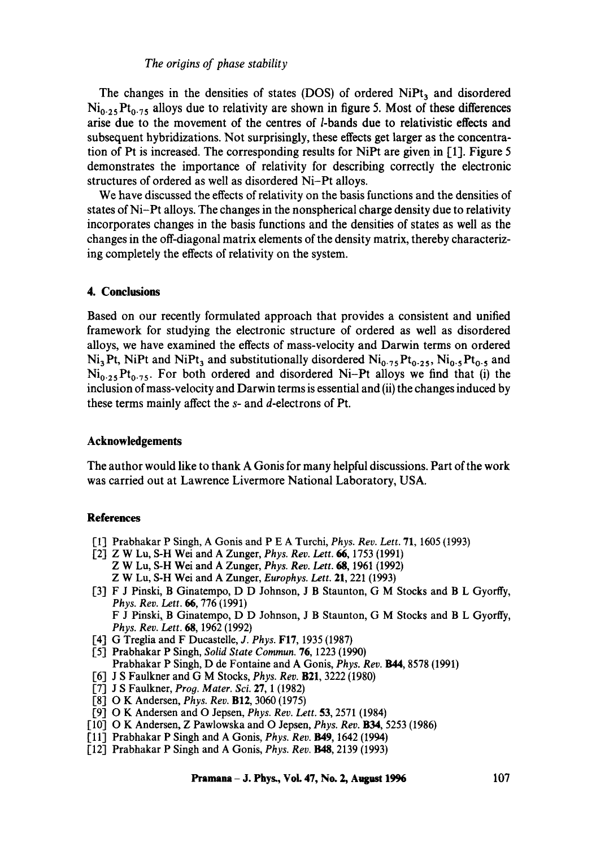#### *The origins of phase stability*

The changes in the densities of states (DOS) of ordered  $NiPt<sub>3</sub>$  and disordered  $Ni<sub>0.25</sub>Pt<sub>0.75</sub>$  alloys due to relativity are shown in figure 5. Most of these differences arise due to the movement of the centres of *l*-bands due to relativistic effects and subsequent hybridizations. Not surprisingly, these effects get larger as the concentration of Pt is increased. The corresponding results for NiPt are given in [1]. Figure 5 demonstrates the importance of relativity for describing correctly the electronic structures of ordered as well as disordered Ni-Pt alloys.

We have discussed the effects of relativity on the basis functions and the densities of states of Ni-Pt alloys. The changes in the nonspherical charge density due to relativity incorporates changes in the basis functions and the densities of states as well as the changes in the off-diagonal matrix elements of the density matrix, thereby characterizing completely the effects of relativity on the system.

#### **4. Conclusions**

Based on our recently formulated approach that provides a consistent and unified framework for studying the electronic structure of ordered as well as disordered alloys, we have examined the effects of mass-velocity and Darwin terms on ordered  $Ni<sub>3</sub> Pt$ , NiPt and NiPt<sub>3</sub> and substitutionally disordered  $Ni<sub>0.75</sub>Pt<sub>0.25</sub>$ , Ni<sub>0.5</sub> Pt<sub>o.5</sub> and  $Ni<sub>0.25</sub>Pt<sub>0.75</sub>$ . For both ordered and disordered Ni-Pt alloys we find that (i) the inclusion of mass-velocity and Darwin terms is essential and (ii) the changes induced by these terms mainly affect the s- and d-electrons of Pt.

#### **Acknowledgements**

The author would like to thank A Gonis for many helpful discussions. Part of the work was carried out at Lawrence Livermore National Laboratory, USA.

#### **References**

- [1] Prabhakar P Singh, A Gonis and P E A Turchi, *Phys. Rev. Lett.* 71, 1605 (1993)
- [2] Z W Lu, S-H Wei and A Zunger, *Phys. Rer. Lett. 66,* 1753 (1991) Z W Lu, S-H Wei and A Zunger, *Phys. Rev. Lett. 68,* 1961 (1992) Z W Lu, S-H Wei and A Zunger, *Europhys. Lett.* 21, 221 (1993)
- [3] F J Pinski, B Ginatempo, D D Johnson, J B Staunton, G M Stocks and B L Gyorffy, *Phys. Rev. Lett. 66,* 776 (199I) F J Pinski, B Ginatempo, D D Johnson, J B Staunton, G M Stocks and B L Gyorffy, *Phys. Rev. Lett.* 68, 1962 (1992)
- [4] G Treglia and F Ducastelle, *J. Phys.* FI7, 1935 (1987)
- [5] Prabhakar P Singh, *Solid State Commun.* 76, 1223 (1990) Prabhakar P Singh, D de Fontaine and A Gonis, *Phys. Rev. B44,* 8578 (1991)
- [6] J S Faulkner and G M Stocks, *Phys. Rev.* B21, 3222 (1980)
- [7] J S Faulkner, *Prog. Mater. Sei.* 27, 1 (1982)
- [8] O K Andersen, *Phys. Rev.* B12, 3060 (1975)
- [9] O K Andersen and O Jepsen, *Phys. Rev. Lett.* 53, 2571 (1984)
- [10] O K Andersen, Z Pawlowska and O Jepsen, *Phys. Rev.* B34, 5253 (1986)
- [11] Prabhakar P Singh and A Gonis, *Phys. Rev.* B49, 1642 (1994)
- [12] Prabhakar P Singh and A Gonis, *Phys. Rev. B48,* 2139 (1993)